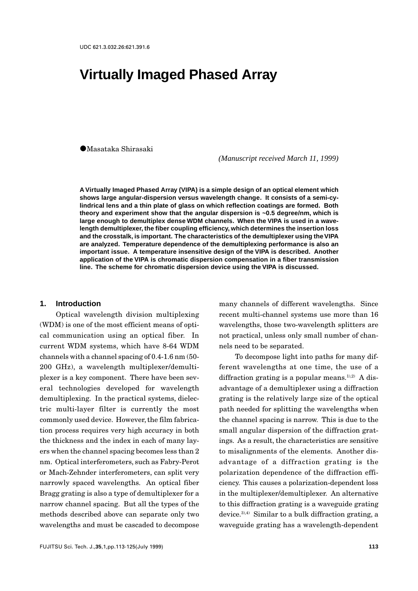# **Virtually Imaged Phased Array**

VMasataka Shirasaki

*(Manuscript received March 11, 1999)*

**A Virtually Imaged Phased Array (VIPA) is a simple design of an optical element which shows large angular-dispersion versus wavelength change. It consists of a semi-cylindrical lens and a thin plate of glass on which reflection coatings are formed. Both theory and experiment show that the angular dispersion is ~0.5 degree/nm, which is large enough to demultiplex dense WDM channels. When the VIPA is used in a wavelength demultiplexer, the fiber coupling efficiency, which determines the insertion loss and the crosstalk, is important. The characteristics of the demultiplexer using the VIPA are analyzed. Temperature dependence of the demultiplexing performance is also an important issue. A temperature insensitive design of the VIPA is described. Another application of the VIPA is chromatic dispersion compensation in a fiber transmission line. The scheme for chromatic dispersion device using the VIPA is discussed.**

#### **1. Introduction**

Optical wavelength division multiplexing (WDM) is one of the most efficient means of optical communication using an optical fiber. In current WDM systems, which have 8-64 WDM channels with a channel spacing of 0.4-1.6 nm (50- 200 GHz), a wavelength multiplexer/demultiplexer is a key component. There have been several technologies developed for wavelength demultiplexing. In the practical systems, dielectric multi-layer filter is currently the most commonly used device. However, the film fabrication process requires very high accuracy in both the thickness and the index in each of many layers when the channel spacing becomes less than 2 nm. Optical interferometers, such as Fabry-Perot or Mach-Zehnder interferometers, can split very narrowly spaced wavelengths. An optical fiber Bragg grating is also a type of demultiplexer for a narrow channel spacing. But all the types of the methods described above can separate only two wavelengths and must be cascaded to decompose

many channels of different wavelengths. Since recent multi-channel systems use more than 16 wavelengths, those two-wavelength splitters are not practical, unless only small number of channels need to be separated.

To decompose light into paths for many different wavelengths at one time, the use of a diffraction grating is a popular means.<sup>1),2)</sup> A disadvantage of a demultiplexer using a diffraction grating is the relatively large size of the optical path needed for splitting the wavelengths when the channel spacing is narrow. This is due to the small angular dispersion of the diffraction gratings. As a result, the characteristics are sensitive to misalignments of the elements. Another disadvantage of a diffraction grating is the polarization dependence of the diffraction efficiency. This causes a polarization-dependent loss in the multiplexer/demultiplexer. An alternative to this diffraction grating is a waveguide grating device. $3,4$ ) Similar to a bulk diffraction grating, a waveguide grating has a wavelength-dependent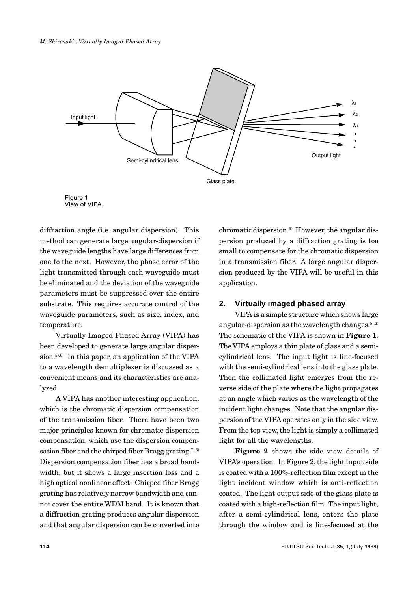



diffraction angle (i.e. angular dispersion). This method can generate large angular-dispersion if the waveguide lengths have large differences from one to the next. However, the phase error of the light transmitted through each waveguide must be eliminated and the deviation of the waveguide parameters must be suppressed over the entire substrate. This requires accurate control of the waveguide parameters, such as size, index, and temperature.

Virtually Imaged Phased Array (VIPA) has been developed to generate large angular dispersion. $5,6$ ) In this paper, an application of the VIPA to a wavelength demultiplexer is discussed as a convenient means and its characteristics are analyzed.

A VIPA has another interesting application, which is the chromatic dispersion compensation of the transmission fiber. There have been two major principles known for chromatic dispersion compensation, which use the dispersion compensation fiber and the chirped fiber Bragg grating.<sup>7),8)</sup> Dispersion compensation fiber has a broad bandwidth, but it shows a large insertion loss and a high optical nonlinear effect. Chirped fiber Bragg grating has relatively narrow bandwidth and cannot cover the entire WDM band. It is known that a diffraction grating produces angular dispersion and that angular dispersion can be converted into

chromatic dispersion.9) However, the angular dispersion produced by a diffraction grating is too small to compensate for the chromatic dispersion in a transmission fiber. A large angular dispersion produced by the VIPA will be useful in this application.

# **2. Virtually imaged phased array**

VIPA is a simple structure which shows large angular-dispersion as the wavelength changes.<sup> $5,6)$ </sup> The schematic of the VIPA is shown in **Figure 1**. The VIPA employs a thin plate of glass and a semicylindrical lens. The input light is line-focused with the semi-cylindrical lens into the glass plate. Then the collimated light emerges from the reverse side of the plate where the light propagates at an angle which varies as the wavelength of the incident light changes. Note that the angular dispersion of the VIPA operates only in the side view. From the top view, the light is simply a collimated light for all the wavelengths.

**Figure 2** shows the side view details of VIPA's operation. In Figure 2, the light input side is coated with a 100%-reflection film except in the light incident window which is anti-reflection coated. The light output side of the glass plate is coated with a high-reflection film. The input light, after a semi-cylindrical lens, enters the plate through the window and is line-focused at the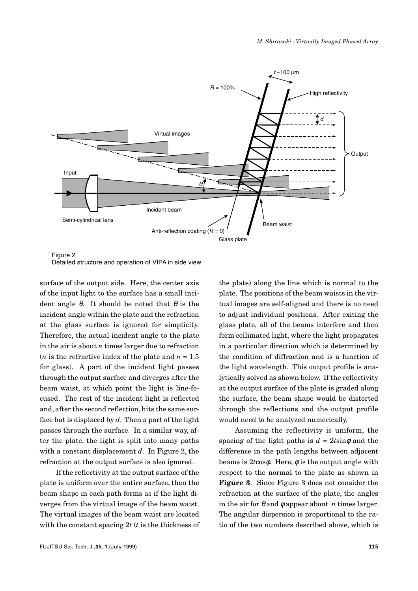

Figure 2 Detailed structure and operation of VIPA in side view.

surface of the output side. Here, the center axis of the input light to the surface has a small incident angle θ. It should be noted that  $θ$  is the incident angle within the plate and the refraction at the glass surface is ignored for simplicity. Therefore, the actual incident angle to the plate in the air is about *n* times larger due to refraction (*n* is the refractive index of the plate and  $n = 1.5$ ) for glass). A part of the incident light passes through the output surface and diverges after the beam waist, at which point the light is line-focused. The rest of the incident light is reflected and, after the second reflection, hits the same surface but is displaced by *d*. Then a part of the light passes through the surface. In a similar way, after the plate, the light is split into many paths with a constant displacement *d*. In Figure 2, the refraction at the output surface is also ignored.

If the reflectivity at the output surface of the plate is uniform over the entire surface, then the beam shape in each path forms as if the light diverges from the virtual image of the beam waist. The virtual images of the beam waist are located with the constant spacing 2*t* (*t* is the thickness of the plate) along the line which is normal to the plate. The positions of the beam waists in the virtual images are self-aligned and there is no need to adjust individual positions. After exiting the glass plate, all of the beams interfere and then form collimated light, where the light propagates in a particular direction which is determined by the condition of diffraction and is a function of the light wavelength. This output profile is analytically solved as shown below. If the reflectivity at the output surface of the plate is graded along the surface, the beam shape would be distorted through the reflections and the output profile would need to be analyzed numerically.

Assuming the reflectivity is uniform, the spacing of the light paths is  $d = 2t \sin \phi$  and the difference in the path lengths between adjacent beams is 2*t*cosφ. Here, φ is the output angle with respect to the normal to the plate as shown in **Figure 3**. Since Figure 3 does not consider the refraction at the surface of the plate, the angles in the air for  $\theta$  and  $\phi$  appear about *n* times larger. The angular dispersion is proportional to the ratio of the two numbers described above, which is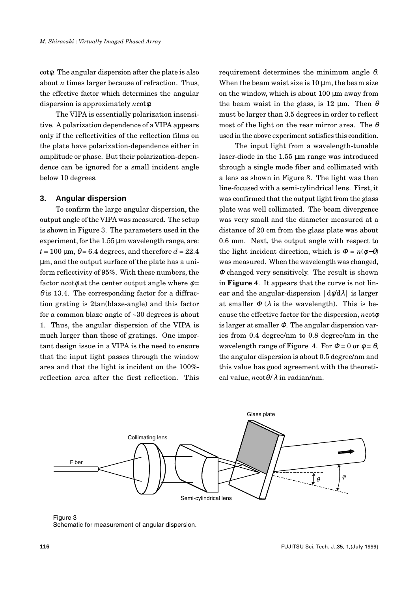cotφ. The angular dispersion after the plate is also about *n* times larger because of refraction. Thus, the effective factor which determines the angular dispersion is approximately *n*cotφ.

The VIPA is essentially polarization insensitive. A polarization dependence of a VIPA appears only if the reflectivities of the reflection films on the plate have polarization-dependence either in amplitude or phase. But their polarization-dependence can be ignored for a small incident angle below 10 degrees.

#### **3. Angular dispersion**

To confirm the large angular dispersion, the output angle of the VIPA was measured. The setup is shown in Figure 3. The parameters used in the experiment, for the  $1.55 \mu m$  wavelength range, are:  $t = 100 \text{ µm}, \theta = 6.4 \text{ degrees}, \text{and therefore } d = 22.4$ µm, and the output surface of the plate has a uniform reflectivity of 95%. With these numbers, the factor *n*cot $\phi$  at the center output angle where  $\phi$  =  $\theta$  is 13.4. The corresponding factor for a diffraction grating is 2tan(blaze-angle) and this factor for a common blaze angle of ~30 degrees is about 1. Thus, the angular dispersion of the VIPA is much larger than those of gratings. One important design issue in a VIPA is the need to ensure that the input light passes through the window area and that the light is incident on the 100% reflection area after the first reflection. This requirement determines the minimum angle  $θ$ . When the beam waist size is  $10 \mu m$ , the beam size on the window, which is about 100 µm away from the beam waist in the glass, is 12  $\mu$ m. Then  $\theta$ must be larger than 3.5 degrees in order to reflect most of the light on the rear mirror area. The  $\theta$ used in the above experiment satisfies this condition.

The input light from a wavelength-tunable laser-diode in the 1.55 µm range was introduced through a single mode fiber and collimated with a lens as shown in Figure 3. The light was then line-focused with a semi-cylindrical lens. First, it was confirmed that the output light from the glass plate was well collimated. The beam divergence was very small and the diameter measured at a distance of 20 cm from the glass plate was about 0.6 mm. Next, the output angle with respect to the light incident direction, which is  $\Phi = n(\phi - \theta)$ was measured. When the wavelength was changed, <sup>Φ</sup> changed very sensitively. The result is shown in **Figure 4**. It appears that the curve is not linear and the angular-dispersion  $|d\phi/d\lambda|$  is larger at smaller  $\Phi$  ( $\lambda$  is the wavelength). This is because the effective factor for the dispersion, *n*cotφ is larger at smaller  $\Phi$ . The angular dispersion varies from 0.4 degree/nm to 0.8 degree/nm in the wavelength range of Figure 4. For  $\Phi = 0$  or  $\phi = \theta$ , the angular dispersion is about 0.5 degree/nm and this value has good agreement with the theoretical value, *n*cotθ*/*λ in radian/nm.



Figure 3 Schematic for measurement of angular dispersion.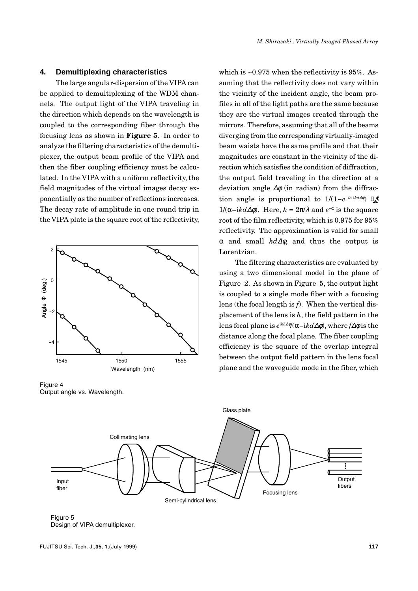### **4. Demultiplexing characteristics**

The large angular-dispersion of the VIPA can be applied to demultiplexing of the WDM channels. The output light of the VIPA traveling in the direction which depends on the wavelength is coupled to the corresponding fiber through the focusing lens as shown in **Figure 5**. In order to analyze the filtering characteristics of the demultiplexer, the output beam profile of the VIPA and then the fiber coupling efficiency must be calculated. In the VIPA with a uniform reflectivity, the field magnitudes of the virtual images decay exponentially as the number of reflections increases. The decay rate of amplitude in one round trip in the VIPA plate is the square root of the reflectivity,



Figure 4 Output angle vs. Wavelength.

which is ~0.975 when the reflectivity is 95%. Assuming that the reflectivity does not vary within the vicinity of the incident angle, the beam profiles in all of the light paths are the same because they are the virtual images created through the mirrors. Therefore, assuming that all of the beams diverging from the corresponding virtually-imaged beam waists have the same profile and that their magnitudes are constant in the vicinity of the direction which satisfies the condition of diffraction, the output field traveling in the direction at a deviation angle ∆φ (in radian) from the diffraction angle is proportional to  $1/(1-e^{-\alpha+ikd\Delta\phi})$  -1/(α-ikdΔ $φ$ ). Here,  $k = 2π/λ$  and  $e<sup>−α</sup>$  is the square root of the film reflectivity, which is 0.975 for 95% reflectivity. The approximation is valid for small α and small *kd*∆φ, and thus the output is Lorentzian.

The filtering characteristics are evaluated by using a two dimensional model in the plane of Figure 2. As shown in Figure 5, the output light is coupled to a single mode fiber with a focusing lens (the focal length is *f*). When the vertical displacement of the lens is *h*, the field pattern in the lens focal plane is *e*<sup>i</sup>*kh*∆φ/(α-i*kd*∆φ), where *f*∆φ is the distance along the focal plane. The fiber coupling efficiency is the square of the overlap integral between the output field pattern in the lens focal plane and the waveguide mode in the fiber, which



Figure 5 Design of VIPA demultiplexer.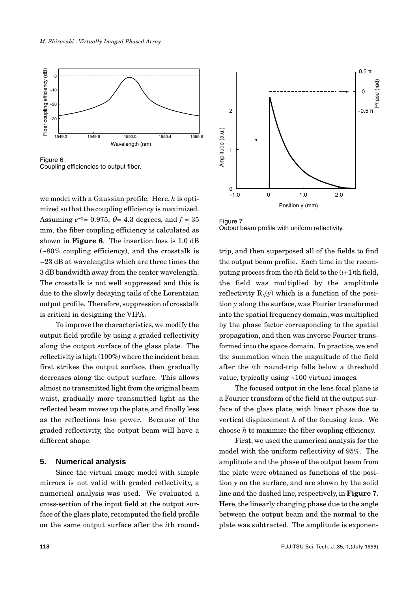

Figure 6 Coupling efficiencies to output fiber.

we model with a Gaussian profile. Here, *h* is optimized so that the coupling efficiency is maximized. Assuming  $e^{-\alpha} = 0.975$ ,  $\theta = 4.3$  degrees, and  $f = 35$ mm, the fiber coupling efficiency is calculated as shown in **Figure 6**. The insertion loss is 1.0 dB (~80% coupling efficiency), and the crosstalk is -23 dB at wavelengths which are three times the 3 dB bandwidth away from the center wavelength. The crosstalk is not well suppressed and this is due to the slowly decaying tails of the Lorentzian output profile. Therefore, suppression of crosstalk is critical in designing the VIPA.

To improve the characteristics, we modify the output field profile by using a graded reflectivity along the output surface of the glass plate. The reflectivity is high (100%) where the incident beam first strikes the output surface, then gradually decreases along the output surface. This allows almost no transmitted light from the original beam waist, gradually more transmitted light as the reflected beam moves up the plate, and finally less as the reflections lose power. Because of the graded reflectivity, the output beam will have a different shape.

#### **5. Numerical analysis**

Since the virtual image model with simple mirrors is not valid with graded reflectivity, a numerical analysis was used. We evaluated a cross-section of the input field at the output surface of the glass plate, recomputed the field profile on the same output surface after the *i*th round-



Figure 7 Output beam profile with uniform reflectivity.

trip, and then superposed all of the fields to find the output beam profile. Each time in the recomputing process from the *i*th field to the (*i*+1)th field, the field was multiplied by the amplitude reflectivity  $R_{\lambda}(y)$  which is a function of the position *y* along the surface, was Fourier transformed into the spatial frequency domain, was multiplied by the phase factor corresponding to the spatial propagation, and then was inverse Fourier transformed into the space domain. In practice, we end the summation when the magnitude of the field after the *i*th round-trip falls below a threshold value, typically using ~100 virtual images.

The focused output in the lens focal plane is a Fourier transform of the field at the output surface of the glass plate, with linear phase due to vertical displacement *h* of the focusing lens. We choose *h* to maximize the fiber coupling efficiency.

First, we used the numerical analysis for the model with the uniform reflectivity of 95%. The amplitude and the phase of the output beam from the plate were obtained as functions of the position  $\nu$  on the surface, and are shown by the solid line and the dashed line, respectively, in **Figure 7**. Here, the linearly changing phase due to the angle between the output beam and the normal to the plate was subtracted. The amplitude is exponen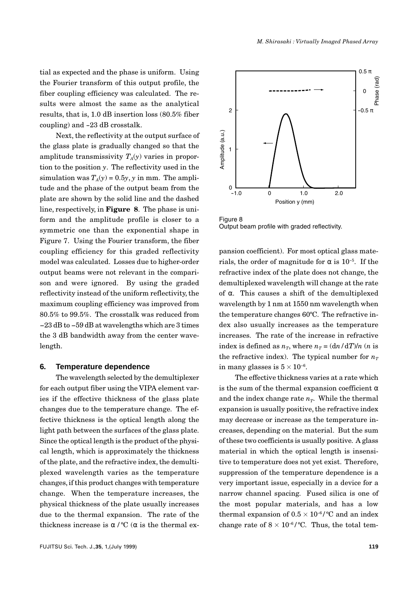tial as expected and the phase is uniform. Using the Fourier transform of this output profile, the fiber coupling efficiency was calculated. The results were almost the same as the analytical results, that is, 1.0 dB insertion loss (80.5% fiber coupling) and -23 dB crosstalk.

Next, the reflectivity at the output surface of the glass plate is gradually changed so that the amplitude transmissivity  $T_A(y)$  varies in proportion to the position *y*. The reflectivity used in the simulation was  $T_A(y) = 0.5y$ , *y* in mm. The amplitude and the phase of the output beam from the plate are shown by the solid line and the dashed line, respectively, in **Figure 8**. The phase is uniform and the amplitude profile is closer to a symmetric one than the exponential shape in Figure 7. Using the Fourier transform, the fiber coupling efficiency for this graded reflectivity model was calculated. Losses due to higher-order output beams were not relevant in the comparison and were ignored. By using the graded reflectivity instead of the uniform reflectivity, the maximum coupling efficiency was improved from 80.5% to 99.5%. The crosstalk was reduced from -23 dB to -59 dB at wavelengths which are 3 times the 3 dB bandwidth away from the center wavelength.

#### **6. Temperature dependence**

The wavelength selected by the demultiplexer for each output fiber using the VIPA element varies if the effective thickness of the glass plate changes due to the temperature change. The effective thickness is the optical length along the light path between the surfaces of the glass plate. Since the optical length is the product of the physical length, which is approximately the thickness of the plate, and the refractive index, the demultiplexed wavelength varies as the temperature changes, if this product changes with temperature change. When the temperature increases, the physical thickness of the plate usually increases due to the thermal expansion. The rate of the thickness increase is α/<sup>o</sup>C (α is the thermal ex-



Figure 8 Output beam profile with graded reflectivity.

pansion coefficient). For most optical glass materials, the order of magnitude for  $\alpha$  is 10<sup>-5</sup>. If the refractive index of the plate does not change, the demultiplexed wavelength will change at the rate of α. This causes a shift of the demultiplexed wavelength by 1 nm at 1550 nm wavelength when the temperature changes 60ºC. The refractive index also usually increases as the temperature increases. The rate of the increase in refractive index is defined as  $n_T$ , where  $n_T = \frac{(\text{d}n}{\text{d}T})/n$  (*n* is the refractive index). The typical number for  $n_T$ in many glasses is  $5 \times 10^{-6}$ .

The effective thickness varies at a rate which is the sum of the thermal expansion coefficient  $\alpha$ and the index change rate  $n<sub>T</sub>$ . While the thermal expansion is usually positive, the refractive index may decrease or increase as the temperature increases, depending on the material. But the sum of these two coefficients is usually positive. A glass material in which the optical length is insensitive to temperature does not yet exist. Therefore, suppression of the temperature dependence is a very important issue, especially in a device for a narrow channel spacing. Fused silica is one of the most popular materials, and has a low thermal expansion of  $0.5 \times 10^{-6}$  / °C and an index change rate of  $8 \times 10^{-6} / {}^{\circ}C$ . Thus, the total tem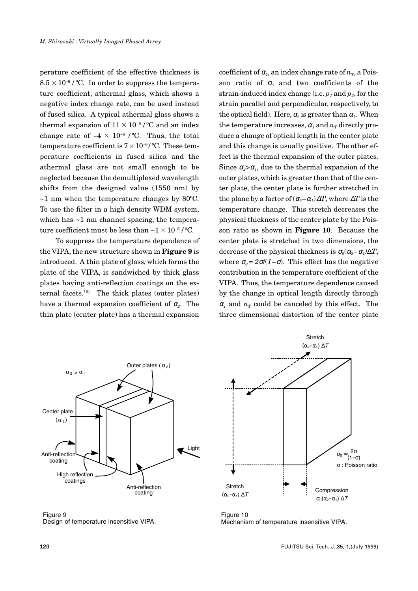perature coefficient of the effective thickness is  $8.5 \times 10^{-6}$  / °C. In order to suppress the temperature coefficient, athermal glass, which shows a negative index change rate, can be used instead of fused silica. A typical athermal glass shows a thermal expansion of  $11 \times 10^{-6}$  /°C and an index change rate of  $-4 \times 10^{-6}$  /°C. Thus, the total temperature coefficient is  $7 \times 10^{-6}$  / °C. These temperature coefficients in fused silica and the athermal glass are not small enough to be neglected because the demultiplexed wavelength shifts from the designed value (1550 nm) by  $\sim$ 1 nm when the temperature changes by 80 $^{\circ}$ C. To use the filter in a high density WDM system, which has  $\sim$ 1 nm channel spacing, the temperature coefficient must be less than  $\sim$ 1 $\times$ 10<sup>-6</sup>/°C.

To suppress the temperature dependence of the VIPA, the new structure shown in **Figure 9** is introduced. A thin plate of glass, which forms the plate of the VIPA, is sandwiched by thick glass plates having anti-reflection coatings on the external facets. $10$  The thick plates (outer plates) have a thermal expansion coefficient of  $\alpha$ <sup>2</sup>. The thin plate (center plate) has a thermal expansion

coefficient of  $\alpha_1$ , an index change rate of  $n_T$ , a Poisson ratio of σ, and two coefficients of the strain-induced index change (i.e.  $p_1$  and  $p_2$ , for the strain parallel and perpendicular, respectively, to the optical field). Here,  $\alpha_2$  is greater than  $\alpha_1$ . When the temperature increases,  $\alpha_1$  and  $n_T$  directly produce a change of optical length in the center plate and this change is usually positive. The other effect is the thermal expansion of the outer plates. Since  $\alpha_2 > \alpha_1$ , due to the thermal expansion of the outer plates, which is greater than that of the center plate, the center plate is further stretched in the plane by a factor of  $(\alpha_{2} - \alpha_{1}) \Delta T$ , where  $\Delta T$  is the temperature change. This stretch decreases the physical thickness of the center plate by the Poisson ratio as shown in **Figure 10**. Because the center plate is stretched in two dimensions, the decrease of the physical thickness is  $\sigma_0(\alpha_2-\alpha_1)\Delta T$ , where  $\sigma_0 = 2\sigma/(1-\sigma)$ . This effect has the negative contribution in the temperature coefficient of the VIPA. Thus, the temperature dependence caused by the change in optical length directly through  $\alpha$ <sub>*i*</sub> and  $n<sub>T</sub>$  could be canceled by this effect. The three dimensional distortion of the center plate



Figure 9 Design of temperature insensitive VIPA.



Figure 10 Mechanism of temperature insensitive VIPA.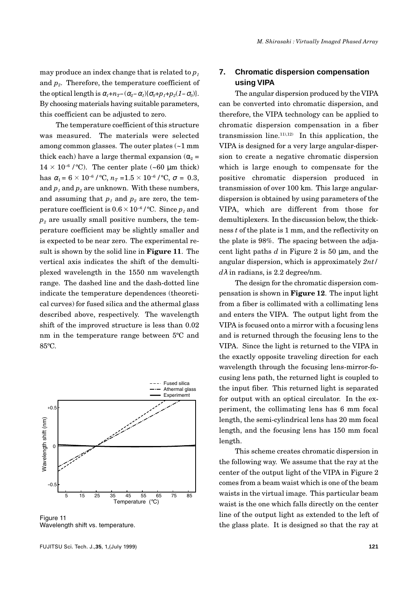may produce an index change that is related to  $p_1$ and  $p_2$ . Therefore, the temperature coefficient of the optical length is  $\alpha_1 + n_T - (\alpha_2 - \alpha_1)(\sigma_0 + p_1 + p_2(1 - \sigma_0)).$ By choosing materials having suitable parameters, this coefficient can be adjusted to zero.

The temperature coefficient of this structure was measured. The materials were selected among common glasses. The outer plates (~1 mm thick each) have a large thermal expansion ( $\alpha_2$  =  $14 \times 10^{-6}$  /°C). The center plate (~60 µm thick) has  $\alpha_1 = 6 \times 10^{-6}$  / °C,  $n_T = 1.5 \times 10^{-6}$  / °C,  $\sigma = 0.3$ , and  $p_1$  and  $p_2$  are unknown. With these numbers, and assuming that  $p_1$  and  $p_2$  are zero, the temperature coefficient is  $0.6 \times 10^{-6}$  / °C. Since  $p_1$  and  $p<sub>2</sub>$  are usually small positive numbers, the temperature coefficient may be slightly smaller and is expected to be near zero. The experimental result is shown by the solid line in **Figure 11**. The vertical axis indicates the shift of the demultiplexed wavelength in the 1550 nm wavelength range. The dashed line and the dash-dotted line indicate the temperature dependences (theoretical curves) for fused silica and the athermal glass described above, respectively. The wavelength shift of the improved structure is less than 0.02 nm in the temperature range between 5ºC and 85ºC.



Figure 11 Wavelength shift vs. temperature.

# **7. Chromatic dispersion compensation using VIPA**

The angular dispersion produced by the VIPA can be converted into chromatic dispersion, and therefore, the VIPA technology can be applied to chromatic dispersion compensation in a fiber transmission line.<sup>11),12)</sup> In this application, the VIPA is designed for a very large angular-dispersion to create a negative chromatic dispersion which is large enough to compensate for the positive chromatic dispersion produced in transmission of over 100 km. This large angulardispersion is obtained by using parameters of the VIPA, which are different from those for demultiplexers. In the discussion below, the thickness *t* of the plate is 1 mm, and the reflectivity on the plate is 98%. The spacing between the adjacent light paths  $d$  in Figure 2 is 50  $\mu$ m, and the angular dispersion, which is approximately *2nt/*  $d\lambda$  in radians, is 2.2 degree/nm.

The design for the chromatic dispersion compensation is shown in **Figure 12**. The input light from a fiber is collimated with a collimating lens and enters the VIPA. The output light from the VIPA is focused onto a mirror with a focusing lens and is returned through the focusing lens to the VIPA. Since the light is returned to the VIPA in the exactly opposite traveling direction for each wavelength through the focusing lens-mirror-focusing lens path, the returned light is coupled to the input fiber. This returned light is separated for output with an optical circulator. In the experiment, the collimating lens has 6 mm focal length, the semi-cylindrical lens has 20 mm focal length, and the focusing lens has 150 mm focal length.

This scheme creates chromatic dispersion in the following way. We assume that the ray at the center of the output light of the VIPA in Figure 2 comes from a beam waist which is one of the beam waists in the virtual image. This particular beam waist is the one which falls directly on the center line of the output light as extended to the left of the glass plate. It is designed so that the ray at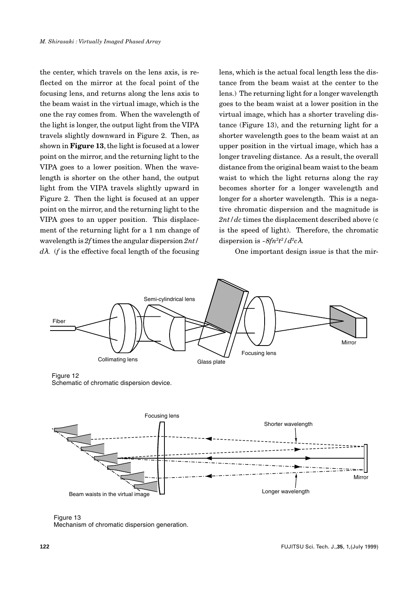the center, which travels on the lens axis, is reflected on the mirror at the focal point of the focusing lens, and returns along the lens axis to the beam waist in the virtual image, which is the one the ray comes from. When the wavelength of the light is longer, the output light from the VIPA travels slightly downward in Figure 2. Then, as shown in **Figure 13**, the light is focused at a lower point on the mirror, and the returning light to the VIPA goes to a lower position. When the wavelength is shorter on the other hand, the output light from the VIPA travels slightly upward in Figure 2. Then the light is focused at an upper point on the mirror, and the returning light to the VIPA goes to an upper position. This displacement of the returning light for a 1 nm change of wavelength is *2f* times the angular dispersion *2nt/ d*λ. (*f* is the effective focal length of the focusing

lens, which is the actual focal length less the distance from the beam waist at the center to the lens.) The returning light for a longer wavelength goes to the beam waist at a lower position in the virtual image, which has a shorter traveling distance (Figure 13), and the returning light for a shorter wavelength goes to the beam waist at an upper position in the virtual image, which has a longer traveling distance. As a result, the overall distance from the original beam waist to the beam waist to which the light returns along the ray becomes shorter for a longer wavelength and longer for a shorter wavelength. This is a negative chromatic dispersion and the magnitude is *2nt/dc* times the displacement described above (c is the speed of light). Therefore, the chromatic dispersion is  $-8fn^2t^2/d^2c\lambda$ .

One important design issue is that the mir-



Figure 12 Schematic of chromatic dispersion device.



Figure 13 Mechanism of chromatic dispersion generation.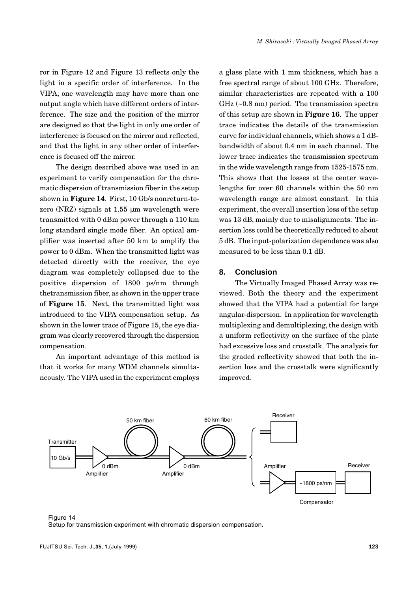ror in Figure 12 and Figure 13 reflects only the light in a specific order of interference. In the VIPA, one wavelength may have more than one output angle which have different orders of interference. The size and the position of the mirror are designed so that the light in only one order of interference is focused on the mirror and reflected, and that the light in any other order of interference is focused off the mirror.

The design described above was used in an experiment to verify compensation for the chromatic dispersion of transmission fiber in the setup shown in **Figure 14**. First, 10 Gb/s nonreturn-tozero (NRZ) signals at 1.55 µm wavelength were transmitted with 0 dBm power through a 110 km long standard single mode fiber. An optical amplifier was inserted after 50 km to amplify the power to 0 dBm. When the transmitted light was detected directly with the receiver, the eye diagram was completely collapsed due to the positive dispersion of 1800 ps/nm through thetransmission fiber, as shown in the upper trace of **Figure 15**. Next, the transmitted light was introduced to the VIPA compensation setup. As shown in the lower trace of Figure 15, the eye diagram was clearly recovered through the dispersion compensation.

An important advantage of this method is that it works for many WDM channels simultaneously. The VIPA used in the experiment employs a glass plate with 1 mm thickness, which has a free spectral range of about 100 GHz. Therefore, similar characteristics are repeated with a 100 GHz (~0.8 nm) period. The transmission spectra of this setup are shown in **Figure 16**. The upper trace indicates the details of the transmission curve for individual channels, which shows a 1 dBbandwidth of about 0.4 nm in each channel. The lower trace indicates the transmission spectrum in the wide wavelength range from 1525-1575 nm. This shows that the losses at the center wavelengths for over 60 channels within the 50 nm wavelength range are almost constant. In this experiment, the overall insertion loss of the setup was 13 dB, mainly due to misalignments. The insertion loss could be theoretically reduced to about 5 dB. The input-polarization dependence was also measured to be less than 0.1 dB.

# **8. Conclusion**

The Virtually Imaged Phased Array was reviewed. Both the theory and the experiment showed that the VIPA had a potential for large angular-dispersion. In application for wavelength multiplexing and demultiplexing, the design with a uniform reflectivity on the surface of the plate had excessive loss and crosstalk. The analysis for the graded reflectivity showed that both the insertion loss and the crosstalk were significantly improved.



Figure 14 Setup for transmission experiment with chromatic dispersion compensation.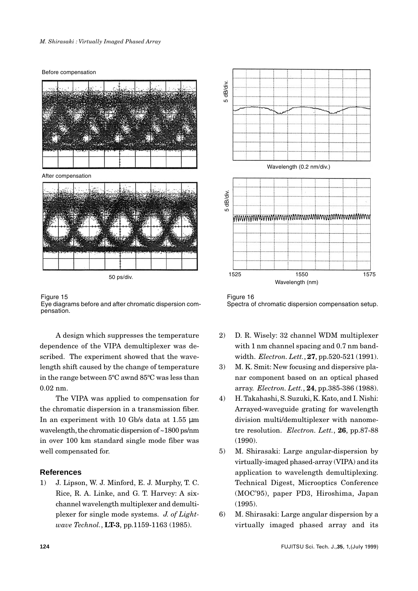Before compensation



After compensation



50 ps/div.

Figure 15 Eye diagrams before and after chromatic dispersion compensation.

A design which suppresses the temperature dependence of the VIPA demultiplexer was described. The experiment showed that the wavelength shift caused by the change of temperature in the range between 5ºC awnd 85ºC was less than 0.02 nm.

The VIPA was applied to compensation for the chromatic dispersion in a transmission fiber. In an experiment with 10 Gb/s data at 1.55  $\mu$ m wavelength, the chromatic dispersion of ~1800 ps/nm in over 100 km standard single mode fiber was well compensated for.

# **References**

1) J. Lipson, W. J. Minford, E. J. Murphy, T. C. Rice, R. A. Linke, and G. T. Harvey: A sixchannel wavelength multiplexer and demultiplexer for single mode systems. *J. of Lightwave Technol.*, **LT-3**, pp.1159-1163 (1985).



Figure 16

- 2) D. R. Wisely: 32 channel WDM multiplexer with 1 nm channel spacing and 0.7 nm bandwidth. *Electron. Lett.*, **27**, pp.520-521 (1991).
- 3) M. K. Smit: New focusing and dispersive planar component based on an optical phased array. *Electron. Lett.*, **24**, pp.385-386 (1988).
- 4) H. Takahashi, S. Suzuki, K. Kato, and I. Nishi: Arrayed-waveguide grating for wavelength division multi/demultiplexer with nanometre resolution. *Electron. Lett.*, **26**, pp.87-88 (1990).
- 5) M. Shirasaki: Large angular-dispersion by virtually-imaged phased-array (VIPA) and its application to wavelength demultiplexing. Technical Digest, Microoptics Conference (MOC'95), paper PD3, Hiroshima, Japan (1995).
- 6) M. Shirasaki: Large angular dispersion by a virtually imaged phased array and its